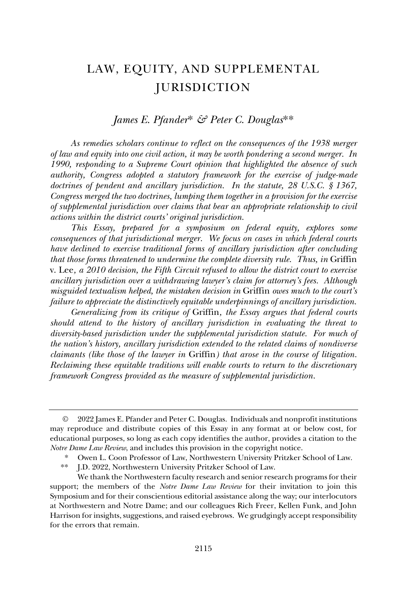# LAW, EQUITY, AND SUPPLEMENTAL **JURISDICTION**

## *James E. Pfander*\* *& Peter C. Douglas*\*\*

*As remedies scholars continue to reflect on the consequences of the 1938 merger of law and equity into one civil action, it may be worth pondering a second merger. In 1990, responding to a Supreme Court opinion that highlighted the absence of such authority, Congress adopted a statutory framework for the exercise of judge-made doctrines of pendent and ancillary jurisdiction. In the statute, 28 U.S.C. § 1367, Congress merged the two doctrines, lumping them together in a provision for the exercise of supplemental jurisdiction over claims that bear an appropriate relationship to civil actions within the district courts' original jurisdiction.* 

*This Essay, prepared for a symposium on federal equity, explores some consequences of that jurisdictional merger. We focus on cases in which federal courts have declined to exercise traditional forms of ancillary jurisdiction after concluding that those forms threatened to undermine the complete diversity rule. Thus, in Griffin* v. Lee*, a 2010 decision, the Fifth Circuit refused to allow the district court to exercise ancillary jurisdiction over a withdrawing lawyer's claim for attorney's fees. Although misguided textualism helped, the mistaken decision in* Griffin *owes much to the court's failure to appreciate the distinctively equitable underpinnings of ancillary jurisdiction.*

*Generalizing from its critique of* Griffin*, the Essay argues that federal courts should attend to the history of ancillary jurisdiction in evaluating the threat to diversity-based jurisdiction under the supplemental jurisdiction statute. For much of the nation's history, ancillary jurisdiction extended to the related claims of nondiverse claimants (like those of the lawyer in* Griffin*) that arose in the course of litigation. Reclaiming these equitable traditions will enable courts to return to the discretionary framework Congress provided as the measure of supplemental jurisdiction.* 

<sup>©</sup> 2022 James E. Pfander and Peter C. Douglas. Individuals and nonprofit institutions may reproduce and distribute copies of this Essay in any format at or below cost, for educational purposes, so long as each copy identifies the author, provides a citation to the *Notre Dame Law Review*, and includes this provision in the copyright notice.

<sup>\*</sup> Owen L. Coon Professor of Law, Northwestern University Pritzker School of Law.

<sup>\*\*</sup> J.D. 2022, Northwestern University Pritzker School of Law.

We thank the Northwestern faculty research and senior research programs for their support; the members of the *Notre Dame Law Review* for their invitation to join this Symposium and for their conscientious editorial assistance along the way; our interlocutors at Northwestern and Notre Dame; and our colleagues Rich Freer, Kellen Funk, and John Harrison for insights, suggestions, and raised eyebrows. We grudgingly accept responsibility for the errors that remain.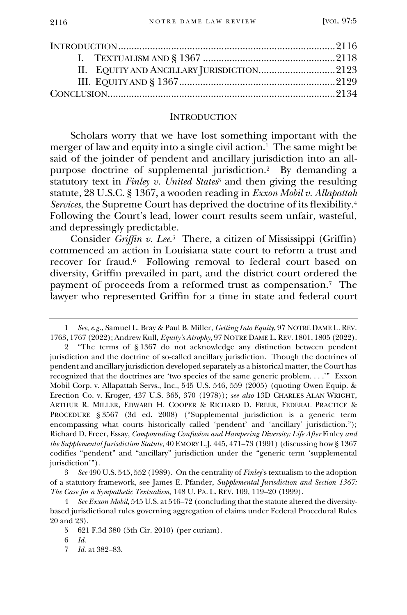#### **INTRODUCTION**

Scholars worry that we have lost something important with the merger of law and equity into a single civil action.<sup>1</sup> The same might be said of the joinder of pendent and ancillary jurisdiction into an allpurpose doctrine of supplemental jurisdiction.<sup>2</sup> By demanding a statutory text in *Finley v. United States*<sup>3</sup> and then giving the resulting statute, 28 U.S.C. § 1367, a wooden reading in *Exxon Mobil v. Allapattah Services*, the Supreme Court has deprived the doctrine of its flexibility.<sup>4</sup> Following the Court's lead, lower court results seem unfair, wasteful, and depressingly predictable.

Consider *Griffin v. Lee*. 5 There, a citizen of Mississippi (Griffin) commenced an action in Louisiana state court to reform a trust and recover for fraud.<sup>6</sup> Following removal to federal court based on diversity, Griffin prevailed in part, and the district court ordered the payment of proceeds from a reformed trust as compensation.<sup>7</sup> The lawyer who represented Griffin for a time in state and federal court

<sup>1</sup> *See*, *e.g.*, Samuel L. Bray & Paul B. Miller, *Getting Into Equity*, 97 NOTRE DAME L. REV. 1763, 1767 (2022); Andrew Kull, *Equity's Atrophy*, 97 NOTRE DAME L.REV. 1801, 1805 (2022).

<sup>2</sup> "The terms of § 1367 do not acknowledge any distinction between pendent jurisdiction and the doctrine of so-called ancillary jurisdiction. Though the doctrines of pendent and ancillary jurisdiction developed separately as a historical matter, the Court has recognized that the doctrines are 'two species of the same generic problem. . . .'" Exxon Mobil Corp. v. Allapattah Servs., Inc., 545 U.S. 546, 559 (2005) (quoting Owen Equip. & Erection Co. v. Kroger, 437 U.S. 365, 370 (1978)); *see also* 13D CHARLES ALAN WRIGHT, ARTHUR R. MILLER, EDWARD H. COOPER & RICHARD D. FREER, FEDERAL PRACTICE & PROCEDURE § 3567 (3d ed. 2008) ("Supplemental jurisdiction is a generic term encompassing what courts historically called 'pendent' and 'ancillary' jurisdiction."); Richard D. Freer, Essay, *Compounding Confusion and Hampering Diversity: Life After* Finley *and the Supplemental Jurisdiction Statute*, 40 EMORY L.J. 445, 471–73 (1991) (discussing how § 1367 codifies "pendent" and "ancillary" jurisdiction under the "generic term 'supplemental jurisdiction'").

<sup>3</sup> *See* 490 U.S. 545, 552 (1989). On the centrality of *Finley*'s textualism to the adoption of a statutory framework, see James E. Pfander, *Supplemental Jurisdiction and Section 1367: The Case for a Sympathetic Textualism*, 148 U. PA. L. REV. 109, 119–20 (1999).

<sup>4</sup> *See Exxon Mobil*, 545 U.S. at 546–72 (concluding that the statute altered the diversitybased jurisdictional rules governing aggregation of claims under Federal Procedural Rules 20 and 23).

<sup>5</sup> 621 F.3d 380 (5th Cir. 2010) (per curiam).

<sup>6</sup> *Id.*

<sup>7</sup> *Id.* at 382–83.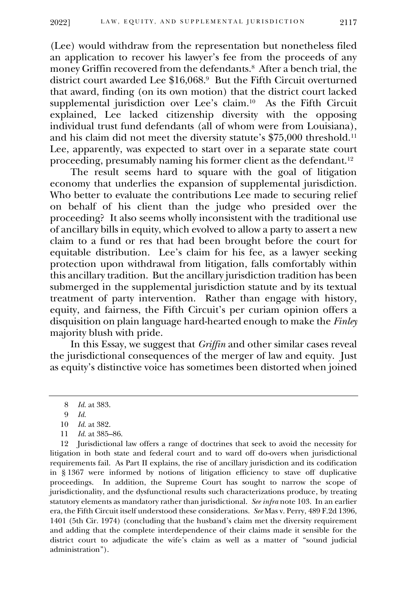(Lee) would withdraw from the representation but nonetheless filed an application to recover his lawyer's fee from the proceeds of any money Griffin recovered from the defendants.<sup>8</sup> After a bench trial, the district court awarded Lee \$16,068. 9 But the Fifth Circuit overturned that award, finding (on its own motion) that the district court lacked supplemental jurisdiction over Lee's claim.<sup>10</sup> As the Fifth Circuit explained, Lee lacked citizenship diversity with the opposing individual trust fund defendants (all of whom were from Louisiana), and his claim did not meet the diversity statute's \$75,000 threshold.<sup>11</sup> Lee, apparently, was expected to start over in a separate state court proceeding, presumably naming his former client as the defendant.<sup>12</sup>

The result seems hard to square with the goal of litigation economy that underlies the expansion of supplemental jurisdiction. Who better to evaluate the contributions Lee made to securing relief on behalf of his client than the judge who presided over the proceeding? It also seems wholly inconsistent with the traditional use of ancillary bills in equity, which evolved to allow a party to assert a new claim to a fund or res that had been brought before the court for equitable distribution. Lee's claim for his fee, as a lawyer seeking protection upon withdrawal from litigation, falls comfortably within this ancillary tradition. But the ancillary jurisdiction tradition has been submerged in the supplemental jurisdiction statute and by its textual treatment of party intervention. Rather than engage with history, equity, and fairness, the Fifth Circuit's per curiam opinion offers a disquisition on plain language hard-hearted enough to make the *Finley* majority blush with pride.

In this Essay, we suggest that *Griffin* and other similar cases reveal the jurisdictional consequences of the merger of law and equity. Just as equity's distinctive voice has sometimes been distorted when joined

11 *Id.* at 385–86.

12 Jurisdictional law offers a range of doctrines that seek to avoid the necessity for litigation in both state and federal court and to ward off do-overs when jurisdictional requirements fail. As Part II explains, the rise of ancillary jurisdiction and its codification in § 1367 were informed by notions of litigation efficiency to stave off duplicative proceedings. In addition, the Supreme Court has sought to narrow the scope of jurisdictionality, and the dysfunctional results such characterizations produce, by treating statutory elements as mandatory rather than jurisdictional. *See infra* note 103. In an earlier era, the Fifth Circuit itself understood these considerations. *See* Mas v. Perry, 489 F.2d 1396, 1401 (5th Cir. 1974) (concluding that the husband's claim met the diversity requirement and adding that the complete interdependence of their claims made it sensible for the district court to adjudicate the wife's claim as well as a matter of "sound judicial administration").

<sup>8</sup> *Id.* at 383.

<sup>9</sup> *Id.*

<sup>10</sup> *Id.* at 382.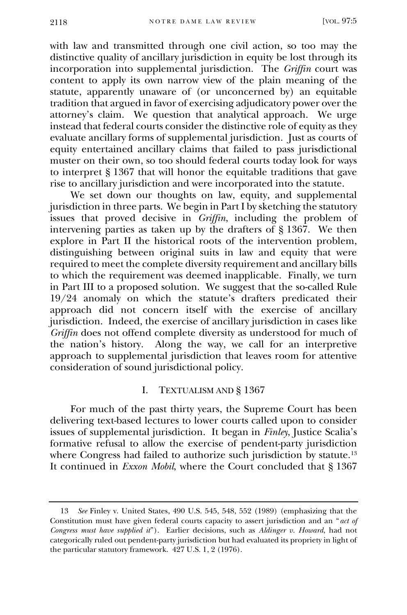with law and transmitted through one civil action, so too may the distinctive quality of ancillary jurisdiction in equity be lost through its incorporation into supplemental jurisdiction. The *Griffin* court was content to apply its own narrow view of the plain meaning of the statute, apparently unaware of (or unconcerned by) an equitable tradition that argued in favor of exercising adjudicatory power over the attorney's claim. We question that analytical approach. We urge instead that federal courts consider the distinctive role of equity as they evaluate ancillary forms of supplemental jurisdiction. Just as courts of equity entertained ancillary claims that failed to pass jurisdictional muster on their own, so too should federal courts today look for ways to interpret § 1367 that will honor the equitable traditions that gave rise to ancillary jurisdiction and were incorporated into the statute.

We set down our thoughts on law, equity, and supplemental jurisdiction in three parts. We begin in Part I by sketching the statutory issues that proved decisive in *Griffin*, including the problem of intervening parties as taken up by the drafters of § 1367. We then explore in Part II the historical roots of the intervention problem, distinguishing between original suits in law and equity that were required to meet the complete diversity requirement and ancillary bills to which the requirement was deemed inapplicable. Finally, we turn in Part III to a proposed solution. We suggest that the so-called Rule 19/24 anomaly on which the statute's drafters predicated their approach did not concern itself with the exercise of ancillary jurisdiction. Indeed, the exercise of ancillary jurisdiction in cases like *Griffin* does not offend complete diversity as understood for much of the nation's history. Along the way, we call for an interpretive approach to supplemental jurisdiction that leaves room for attentive consideration of sound jurisdictional policy.

## I. TEXTUALISM AND § 1367

For much of the past thirty years, the Supreme Court has been delivering text-based lectures to lower courts called upon to consider issues of supplemental jurisdiction. It began in *Finley*, Justice Scalia's formative refusal to allow the exercise of pendent-party jurisdiction where Congress had failed to authorize such jurisdiction by statute.<sup>13</sup> It continued in *Exxon Mobil*, where the Court concluded that § 1367

<sup>13</sup> *See* Finley v. United States, 490 U.S. 545, 548, 552 (1989) (emphasizing that the Constitution must have given federal courts capacity to assert jurisdiction and an "*act of Congress must have supplied it*"). Earlier decisions, such as *Aldinger v. Howard*, had not categorically ruled out pendent-party jurisdiction but had evaluated its propriety in light of the particular statutory framework. 427 U.S. 1, 2 (1976).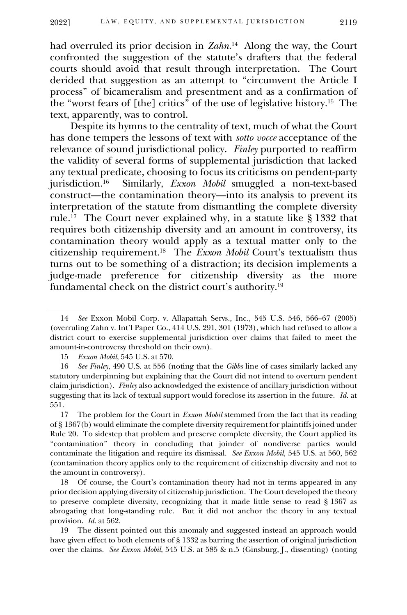had overruled its prior decision in *Zahn*. 14 Along the way, the Court confronted the suggestion of the statute's drafters that the federal courts should avoid that result through interpretation. The Court derided that suggestion as an attempt to "circumvent the Article I process" of bicameralism and presentment and as a confirmation of the "worst fears of [the] critics" of the use of legislative history.<sup>15</sup> The text, apparently, was to control.

Despite its hymns to the centrality of text, much of what the Court has done tempers the lessons of text with *sotto vocce* acceptance of the relevance of sound jurisdictional policy. *Finley* purported to reaffirm the validity of several forms of supplemental jurisdiction that lacked any textual predicate, choosing to focus its criticisms on pendent-party jurisdiction.<sup>16</sup> Similarly, *Exxon Mobil* smuggled a non-text-based construct—the contamination theory—into its analysis to prevent its interpretation of the statute from dismantling the complete diversity rule.<sup>17</sup> The Court never explained why, in a statute like § 1332 that requires both citizenship diversity and an amount in controversy, its contamination theory would apply as a textual matter only to the citizenship requirement.<sup>18</sup> The *Exxon Mobil* Court's textualism thus turns out to be something of a distraction; its decision implements a judge-made preference for citizenship diversity as the more fundamental check on the district court's authority.<sup>19</sup>

15 *Exxon Mobil*, 545 U.S. at 570.

18 Of course, the Court's contamination theory had not in terms appeared in any prior decision applying diversity of citizenship jurisdiction. The Court developed the theory to preserve complete diversity, recognizing that it made little sense to read § 1367 as abrogating that long-standing rule. But it did not anchor the theory in any textual provision. *Id.* at 562.

19 The dissent pointed out this anomaly and suggested instead an approach would have given effect to both elements of § 1332 as barring the assertion of original jurisdiction over the claims. *See Exxon Mobil*, 545 U.S. at 585 & n.5 (Ginsburg, J., dissenting) (noting

<sup>14</sup> *See* Exxon Mobil Corp. v. Allapattah Servs., Inc., 545 U.S. 546, 566–67 (2005) (overruling Zahn v. Int'l Paper Co., 414 U.S. 291, 301 (1973), which had refused to allow a district court to exercise supplemental jurisdiction over claims that failed to meet the amount-in-controversy threshold on their own).

<sup>16</sup> *See Finley*, 490 U.S. at 556 (noting that the *Gibbs* line of cases similarly lacked any statutory underpinning but explaining that the Court did not intend to overturn pendent claim jurisdiction). *Finley* also acknowledged the existence of ancillary jurisdiction without suggesting that its lack of textual support would foreclose its assertion in the future. *Id.* at 551.

<sup>17</sup> The problem for the Court in *Exxon Mobil* stemmed from the fact that its reading of § 1367(b) would eliminate the complete diversity requirement for plaintiffs joined under Rule 20. To sidestep that problem and preserve complete diversity, the Court applied its "contamination" theory in concluding that joinder of nondiverse parties would contaminate the litigation and require its dismissal. *See Exxon Mobil*, 545 U.S. at 560, 562 (contamination theory applies only to the requirement of citizenship diversity and not to the amount in controversy).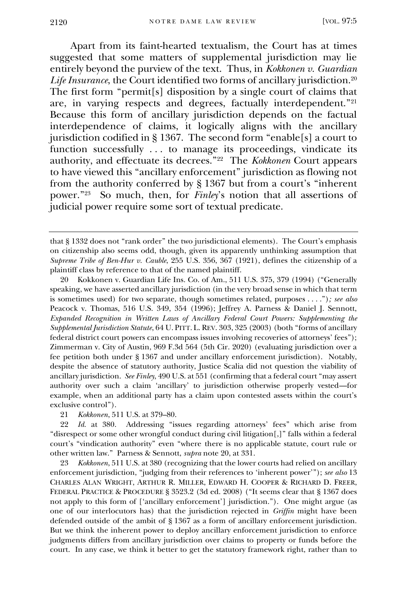Apart from its faint-hearted textualism, the Court has at times suggested that some matters of supplemental jurisdiction may lie entirely beyond the purview of the text. Thus, in *Kokkonen v. Guardian Life Insurance*, the Court identified two forms of ancillary jurisdiction.<sup>20</sup> The first form "permit[s] disposition by a single court of claims that are, in varying respects and degrees, factually interdependent."<sup>21</sup> Because this form of ancillary jurisdiction depends on the factual interdependence of claims, it logically aligns with the ancillary jurisdiction codified in § 1367. The second form "enable[s] a court to function successfully ... to manage its proceedings, vindicate its authority, and effectuate its decrees."<sup>22</sup> The *Kokkonen* Court appears to have viewed this "ancillary enforcement" jurisdiction as flowing not from the authority conferred by § 1367 but from a court's "inherent power."<sup>23</sup> So much, then, for *Finley*'s notion that all assertions of judicial power require some sort of textual predicate.

20 Kokkonen v. Guardian Life Ins. Co. of Am., 511 U.S. 375, 379 (1994) ("Generally speaking, we have asserted ancillary jurisdiction (in the very broad sense in which that term is sometimes used) for two separate, though sometimes related, purposes . . . .")*; see also*  Peacock v. Thomas, 516 U.S. 349, 354 (1996); Jeffrey A. Parness & Daniel J. Sennott, *Expanded Recognition in Written Laws of Ancillary Federal Court Powers: Supplementing the Supplemental Jurisdiction Statute*, 64 U. PITT. L. REV. 303, 325 (2003) (both "forms of ancillary federal district court powers can encompass issues involving recoveries of attorneys' fees"); Zimmerman v. City of Austin, 969 F.3d 564 (5th Cir. 2020) (evaluating jurisdiction over a fee petition both under § 1367 and under ancillary enforcement jurisdiction). Notably, despite the absence of statutory authority, Justice Scalia did not question the viability of ancillary jurisdiction. *See Finley*, 490 U.S. at 551 (confirming that a federal court "may assert authority over such a claim 'ancillary' to jurisdiction otherwise properly vested—for example, when an additional party has a claim upon contested assets within the court's exclusive control").

21 *Kokkonen*, 511 U.S. at 379–80.

22 *Id.* at 380. Addressing "issues regarding attorneys' fees" which arise from "disrespect or some other wrongful conduct during civil litigation[,]" falls within a federal court's "vindication authority" even "where there is no applicable statute, court rule or other written law." Parness & Sennott, *supra* note 20, at 331.

23 *Kokkonen*, 511 U.S. at 380 (recognizing that the lower courts had relied on ancillary enforcement jurisdiction, "judging from their references to 'inherent power'"); *see also* 13 CHARLES ALAN WRIGHT, ARTHUR R. MILLER, EDWARD H. COOPER & RICHARD D. FREER, FEDERAL PRACTICE & PROCEDURE § 3523.2 (3d ed. 2008) ("It seems clear that § 1367 does not apply to this form of ['ancillary enforcement'] jurisdiction."). One might argue (as one of our interlocutors has) that the jurisdiction rejected in *Griffin* might have been defended outside of the ambit of § 1367 as a form of ancillary enforcement jurisdiction. But we think the inherent power to deploy ancillary enforcement jurisdiction to enforce judgments differs from ancillary jurisdiction over claims to property or funds before the court. In any case, we think it better to get the statutory framework right, rather than to

that § 1332 does not "rank order" the two jurisdictional elements). The Court's emphasis on citizenship also seems odd, though, given its apparently unthinking assumption that *Supreme Tribe of Ben-Hur v. Cauble*, 255 U.S. 356, 367 (1921), defines the citizenship of a plaintiff class by reference to that of the named plaintiff.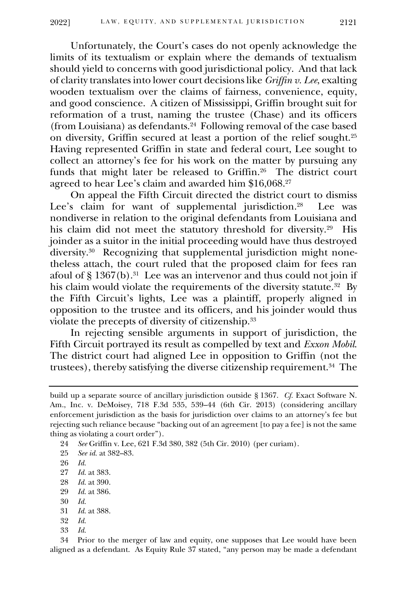Unfortunately, the Court's cases do not openly acknowledge the limits of its textualism or explain where the demands of textualism should yield to concerns with good jurisdictional policy. And that lack of clarity translates into lower court decisions like *Griffin v. Lee*, exalting wooden textualism over the claims of fairness, convenience, equity, and good conscience. A citizen of Mississippi, Griffin brought suit for reformation of a trust, naming the trustee (Chase) and its officers (from Louisiana) as defendants.<sup>24</sup> Following removal of the case based on diversity, Griffin secured at least a portion of the relief sought.<sup>25</sup> Having represented Griffin in state and federal court, Lee sought to collect an attorney's fee for his work on the matter by pursuing any funds that might later be released to Griffin.<sup>26</sup> The district court agreed to hear Lee's claim and awarded him \$16,068. 27

On appeal the Fifth Circuit directed the district court to dismiss Lee's claim for want of supplemental jurisdiction.<sup>28</sup> Lee was nondiverse in relation to the original defendants from Louisiana and his claim did not meet the statutory threshold for diversity.<sup>29</sup> His joinder as a suitor in the initial proceeding would have thus destroyed diversity.<sup>30</sup> Recognizing that supplemental jurisdiction might nonetheless attach, the court ruled that the proposed claim for fees ran afoul of § 1367(b).<sup>31</sup> Lee was an intervenor and thus could not join if his claim would violate the requirements of the diversity statute.<sup>32</sup> By the Fifth Circuit's lights, Lee was a plaintiff, properly aligned in opposition to the trustee and its officers, and his joinder would thus violate the precepts of diversity of citizenship.<sup>33</sup>

In rejecting sensible arguments in support of jurisdiction, the Fifth Circuit portrayed its result as compelled by text and *Exxon Mobil*. The district court had aligned Lee in opposition to Griffin (not the trustees), thereby satisfying the diverse citizenship requirement.<sup>34</sup> The

25 *See id.* at 382–83.

27 *Id.* at 383.

- 29 *Id.* at 386.
- 30 *Id.*
- 31 *Id.* at 388.
- 32 *Id.*
- 33 *Id.*

34 Prior to the merger of law and equity, one supposes that Lee would have been aligned as a defendant. As Equity Rule 37 stated, "any person may be made a defendant

build up a separate source of ancillary jurisdiction outside § 1367. *Cf.* Exact Software N. Am., Inc. v. DeMoisey, 718 F.3d 535, 539–44 (6th Cir. 2013) (considering ancillary enforcement jurisdiction as the basis for jurisdiction over claims to an attorney's fee but rejecting such reliance because "backing out of an agreement [to pay a fee] is not the same thing as violating a court order").

<sup>24</sup> *See* Griffin v. Lee, 621 F.3d 380, 382 (5th Cir. 2010) (per curiam).

<sup>26</sup> *Id.*

<sup>28</sup> *Id.* at 390.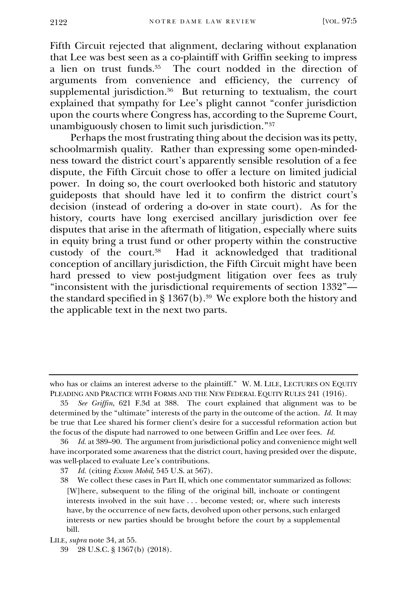Fifth Circuit rejected that alignment, declaring without explanation that Lee was best seen as a co-plaintiff with Griffin seeking to impress a lien on trust funds.<sup>35</sup> The court nodded in the direction of arguments from convenience and efficiency, the currency of supplemental jurisdiction.<sup>36</sup> But returning to textualism, the court explained that sympathy for Lee's plight cannot "confer jurisdiction upon the courts where Congress has, according to the Supreme Court, unambiguously chosen to limit such jurisdiction."<sup>37</sup>

Perhaps the most frustrating thing about the decision was its petty, schoolmarmish quality. Rather than expressing some open-mindedness toward the district court's apparently sensible resolution of a fee dispute, the Fifth Circuit chose to offer a lecture on limited judicial power. In doing so, the court overlooked both historic and statutory guideposts that should have led it to confirm the district court's decision (instead of ordering a do-over in state court). As for the history, courts have long exercised ancillary jurisdiction over fee disputes that arise in the aftermath of litigation, especially where suits in equity bring a trust fund or other property within the constructive custody of the court.<sup>38</sup> Had it acknowledged that traditional conception of ancillary jurisdiction, the Fifth Circuit might have been hard pressed to view post-judgment litigation over fees as truly "inconsistent with the jurisdictional requirements of section 1332" the standard specified in § 1367(b).<sup>39</sup> We explore both the history and the applicable text in the next two parts.

who has or claims an interest adverse to the plaintiff." W. M. LILE, LECTURES ON EQUITY PLEADING AND PRACTICE WITH FORMS AND THE NEW FEDERAL EQUITY RULES 241 (1916).

<sup>35</sup> *See Griffin*, 621 F.3d at 388. The court explained that alignment was to be determined by the "ultimate" interests of the party in the outcome of the action. *Id.* It may be true that Lee shared his former client's desire for a successful reformation action but the focus of the dispute had narrowed to one between Griffin and Lee over fees. *Id.* 

<sup>36</sup> *Id.* at 389–90. The argument from jurisdictional policy and convenience might well have incorporated some awareness that the district court, having presided over the dispute, was well-placed to evaluate Lee's contributions.<br>37 *Id.* (citing *Exxon Mobil.* 545 U.S. at 567)

<sup>37</sup> *Id.* (citing *Exxon Mobil*, 545 U.S. at 567).

<sup>38</sup> We collect these cases in Part II, which one commentator summarized as follows: [W]here, subsequent to the filing of the original bill, inchoate or contingent interests involved in the suit have . . . become vested; or, where such interests have, by the occurrence of new facts, devolved upon other persons, such enlarged interests or new parties should be brought before the court by a supplemental bill.

LILE, *supra* note 34, at 55.

<sup>39</sup> 28 U.S.C. § 1367(b) (2018).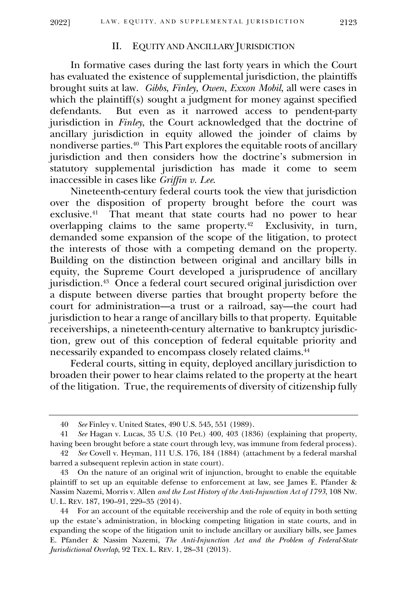#### II. EQUITY AND ANCILLARY JURISDICTION

In formative cases during the last forty years in which the Court has evaluated the existence of supplemental jurisdiction, the plaintiffs brought suits at law. *Gibbs*, *Finley*, *Owen*, *Exxon Mobil*, all were cases in which the plaintiff(s) sought a judgment for money against specified defendants. But even as it narrowed access to pendent-party jurisdiction in *Finley*, the Court acknowledged that the doctrine of ancillary jurisdiction in equity allowed the joinder of claims by nondiverse parties.<sup>40</sup> This Part explores the equitable roots of ancillary jurisdiction and then considers how the doctrine's submersion in statutory supplemental jurisdiction has made it come to seem inaccessible in cases like *Griffin v. Lee*.

Nineteenth-century federal courts took the view that jurisdiction over the disposition of property brought before the court was exclusive.<sup>41</sup> That meant that state courts had no power to hear overlapping claims to the same property.<sup>42</sup> Exclusivity, in turn, demanded some expansion of the scope of the litigation, to protect the interests of those with a competing demand on the property. Building on the distinction between original and ancillary bills in equity, the Supreme Court developed a jurisprudence of ancillary jurisdiction.<sup>43</sup> Once a federal court secured original jurisdiction over a dispute between diverse parties that brought property before the court for administration—a trust or a railroad, say—the court had jurisdiction to hear a range of ancillary bills to that property. Equitable receiverships, a nineteenth-century alternative to bankruptcy jurisdiction, grew out of this conception of federal equitable priority and necessarily expanded to encompass closely related claims.<sup>44</sup>

Federal courts, sitting in equity, deployed ancillary jurisdiction to broaden their power to hear claims related to the property at the heart of the litigation. True, the requirements of diversity of citizenship fully

<sup>40</sup> *See* Finley v. United States, 490 U.S. 545, 551 (1989).

<sup>41</sup> *See* Hagan v. Lucas, 35 U.S. (10 Pet.) 400, 403 (1836) (explaining that property, having been brought before a state court through levy, was immune from federal process).

<sup>42</sup> *See* Covell v. Heyman, 111 U.S. 176, 184 (1884) (attachment by a federal marshal barred a subsequent replevin action in state court).

<sup>43</sup> On the nature of an original writ of injunction, brought to enable the equitable plaintiff to set up an equitable defense to enforcement at law, see James E. Pfander & Nassim Nazemi, Morris v. Allen *and the Lost History of the Anti-Injunction Act of 1793*, 108 NW. U. L. REV. 187, 190–91, 229–35 (2014).

<sup>44</sup> For an account of the equitable receivership and the role of equity in both setting up the estate's administration, in blocking competing litigation in state courts, and in expanding the scope of the litigation unit to include ancillary or auxiliary bills, see James E. Pfander & Nassim Nazemi, *The Anti-Injunction Act and the Problem of Federal-State Jurisdictional Overlap*, 92 TEX. L. REV. 1, 28–31 (2013).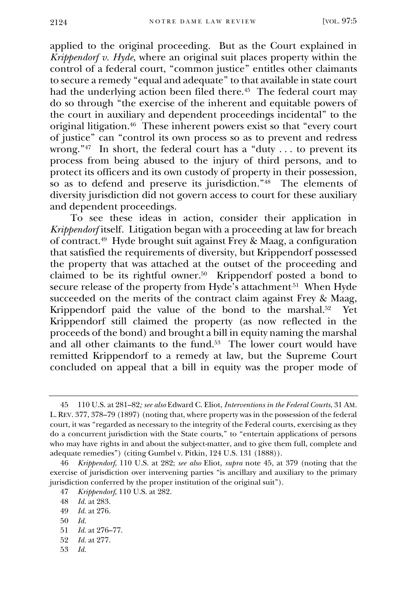applied to the original proceeding. But as the Court explained in *Krippendorf v. Hyde*, where an original suit places property within the control of a federal court, "common justice" entitles other claimants to secure a remedy "equal and adequate" to that available in state court had the underlying action been filed there.<sup>45</sup> The federal court may do so through "the exercise of the inherent and equitable powers of the court in auxiliary and dependent proceedings incidental" to the original litigation.<sup>46</sup> These inherent powers exist so that "every court of justice" can "control its own process so as to prevent and redress wrong."<sup>47</sup> In short, the federal court has a "duty . . . to prevent its process from being abused to the injury of third persons, and to protect its officers and its own custody of property in their possession, so as to defend and preserve its jurisdiction."<sup>48</sup> The elements of diversity jurisdiction did not govern access to court for these auxiliary and dependent proceedings.

To see these ideas in action, consider their application in *Krippendorf* itself. Litigation began with a proceeding at law for breach of contract. 49 Hyde brought suit against Frey & Maag, a configuration that satisfied the requirements of diversity, but Krippendorf possessed the property that was attached at the outset of the proceeding and claimed to be its rightful owner. 50 Krippendorf posted a bond to secure release of the property from Hyde's attachment<sup>.51</sup> When Hyde succeeded on the merits of the contract claim against Frey & Maag, Krippendorf paid the value of the bond to the marshal.<sup>52</sup> Yet Krippendorf still claimed the property (as now reflected in the proceeds of the bond) and brought a bill in equity naming the marshal and all other claimants to the fund. 53 The lower court would have remitted Krippendorf to a remedy at law, but the Supreme Court concluded on appeal that a bill in equity was the proper mode of

49 *Id.* at 276.

53 *Id.*

<sup>45</sup> 110 U.S. at 281–82*; see also* Edward C. Eliot, *Interventions in the Federal Courts*, 31 AM. L.REV. 377, 378–79 (1897) (noting that, where property was in the possession of the federal court, it was "regarded as necessary to the integrity of the Federal courts, exercising as they do a concurrent jurisdiction with the State courts," to "entertain applications of persons who may have rights in and about the subject-matter, and to give them full, complete and adequate remedies") (citing Gumbel v. Pitkin, 124 U.S. 131 (1888)).

<sup>46</sup> *Krippendorf*, 110 U.S. at 282; *see also* Eliot, *supra* note 45, at 379 (noting that the exercise of jurisdiction over intervening parties "is ancillary and auxiliary to the primary jurisdiction conferred by the proper institution of the original suit").

<sup>47</sup> *Krippendorf*, 110 U.S. at 282.

<sup>48</sup> *Id.* at 283.

<sup>50</sup> *Id.*

<sup>51</sup> *Id.* at 276–77.

<sup>52</sup> *Id.* at 277.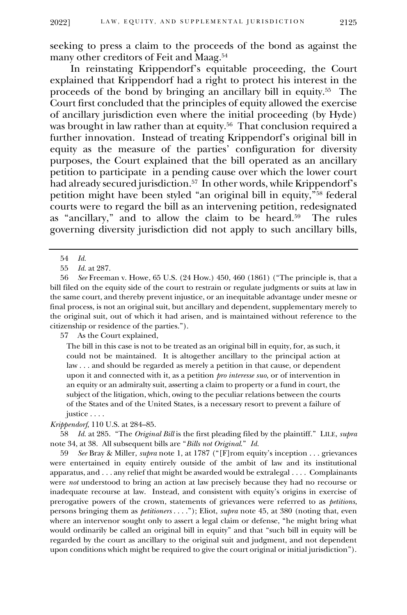seeking to press a claim to the proceeds of the bond as against the many other creditors of Feit and Maag.<sup>54</sup>

In reinstating Krippendorf's equitable proceeding, the Court explained that Krippendorf had a right to protect his interest in the proceeds of the bond by bringing an ancillary bill in equity.<sup>55</sup> The Court first concluded that the principles of equity allowed the exercise of ancillary jurisdiction even where the initial proceeding (by Hyde) was brought in law rather than at equity.<sup>56</sup> That conclusion required a further innovation. Instead of treating Krippendorf's original bill in equity as the measure of the parties' configuration for diversity purposes, the Court explained that the bill operated as an ancillary petition to participate in a pending cause over which the lower court had already secured jurisdiction. <sup>57</sup> In other words, while Krippendorf's petition might have been styled "an original bill in equity,"<sup>58</sup> federal courts were to regard the bill as an intervening petition, redesignated as "ancillary," and to allow the claim to be heard.<sup>59</sup> The rules governing diversity jurisdiction did not apply to such ancillary bills,

57 As the Court explained,

The bill in this case is not to be treated as an original bill in equity, for, as such, it could not be maintained. It is altogether ancillary to the principal action at law . . . and should be regarded as merely a petition in that cause, or dependent upon it and connected with it, as a petition *pro interesse suo*, or of intervention in an equity or an admiralty suit, asserting a claim to property or a fund in court, the subject of the litigation, which, owing to the peculiar relations between the courts of the States and of the United States, is a necessary resort to prevent a failure of justice . . . .

*Krippendorf*, 110 U.S. at 284–85.

58 *Id.* at 285. "The *Original Bill* is the first pleading filed by the plaintiff." LILE, *supra*  note 34, at 38. All subsequent bills are "*Bills not Original*." *Id.*

59 *See* Bray & Miller, *supra* note 1, at 1787 ("[F]rom equity's inception . . . grievances were entertained in equity entirely outside of the ambit of law and its institutional apparatus, and . . . any relief that might be awarded would be extralegal . . . . Complainants were *not* understood to bring an action at law precisely because they had no recourse or inadequate recourse at law. Instead, and consistent with equity's origins in exercise of prerogative powers of the crown, statements of grievances were referred to as *petitions*, persons bringing them as *petitioners* . . . ."); Eliot, *supra* note 45, at 380 (noting that, even where an intervenor sought only to assert a legal claim or defense, "he might bring what would ordinarily be called an original bill in equity" and that "such bill in equity will be regarded by the court as ancillary to the original suit and judgment, and not dependent upon conditions which might be required to give the court original or initial jurisdiction").

<sup>54</sup> *Id.*

<sup>55</sup> *Id.* at 287.

<sup>56</sup> *See* Freeman v. Howe, 65 U.S. (24 How.) 450, 460 (1861) ("The principle is, that a bill filed on the equity side of the court to restrain or regulate judgments or suits at law in the same court, and thereby prevent injustice, or an inequitable advantage under mesne or final process, is not an original suit, but ancillary and dependent, supplementary merely to the original suit, out of which it had arisen, and is maintained without reference to the citizenship or residence of the parties.").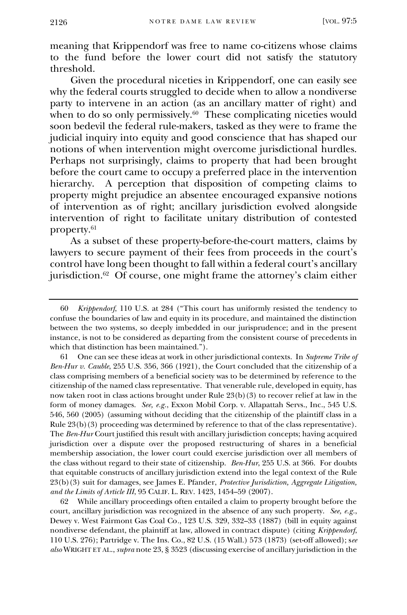meaning that Krippendorf was free to name co-citizens whose claims to the fund before the lower court did not satisfy the statutory threshold.

Given the procedural niceties in Krippendorf, one can easily see why the federal courts struggled to decide when to allow a nondiverse party to intervene in an action (as an ancillary matter of right) and when to do so only permissively.<sup>60</sup> These complicating niceties would soon bedevil the federal rule-makers, tasked as they were to frame the judicial inquiry into equity and good conscience that has shaped our notions of when intervention might overcome jurisdictional hurdles. Perhaps not surprisingly, claims to property that had been brought before the court came to occupy a preferred place in the intervention hierarchy. A perception that disposition of competing claims to property might prejudice an absentee encouraged expansive notions of intervention as of right; ancillary jurisdiction evolved alongside intervention of right to facilitate unitary distribution of contested property.<sup>61</sup>

As a subset of these property-before-the-court matters, claims by lawyers to secure payment of their fees from proceeds in the court's control have long been thought to fall within a federal court's ancillary jurisdiction.<sup>62</sup> Of course, one might frame the attorney's claim either

61 One can see these ideas at work in other jurisdictional contexts. In *Supreme Tribe of Ben-Hur v. Cauble*, 255 U.S. 356, 366 (1921), the Court concluded that the citizenship of a class comprising members of a beneficial society was to be determined by reference to the citizenship of the named class representative. That venerable rule, developed in equity, has now taken root in class actions brought under Rule 23(b)(3) to recover relief at law in the form of money damages. *See, e.g.*, Exxon Mobil Corp. v. Allapattah Servs., Inc., 545 U.S. 546, 560 (2005) (assuming without deciding that the citizenship of the plaintiff class in a Rule 23(b)(3) proceeding was determined by reference to that of the class representative). The *Ben-Hur* Court justified this result with ancillary jurisdiction concepts; having acquired jurisdiction over a dispute over the proposed restructuring of shares in a beneficial membership association, the lower court could exercise jurisdiction over all members of the class without regard to their state of citizenship. *Ben-Hur*, 255 U.S. at 366. For doubts that equitable constructs of ancillary jurisdiction extend into the legal context of the Rule 23(b)(3) suit for damages, see James E. Pfander, *Protective Jurisdiction, Aggregate Litigation, and the Limits of Article III*, 95 CALIF. L. REV. 1423, 1454–59 (2007).

62 While ancillary proceedings often entailed a claim to property brought before the court, ancillary jurisdiction was recognized in the absence of any such property. *See, e.g.*, Dewey v. West Fairmont Gas Coal Co*.*, 123 U.S. 329, 332–33 (1887) (bill in equity against nondiverse defendant, the plaintiff at law, allowed in contract dispute) (citing *Krippendorf*, 110 U.S. 276); Partridge v. The Ins. Co., 82 U.S. (15 Wall.) 573 (1873) (set-off allowed); s*ee also* WRIGHT ET AL., *supra* note 23, § 3523 (discussing exercise of ancillary jurisdiction in the

<sup>60</sup> *Krippendorf*, 110 U.S. at 284 ("This court has uniformly resisted the tendency to confuse the boundaries of law and equity in its procedure, and maintained the distinction between the two systems, so deeply imbedded in our jurisprudence; and in the present instance, is not to be considered as departing from the consistent course of precedents in which that distinction has been maintained.").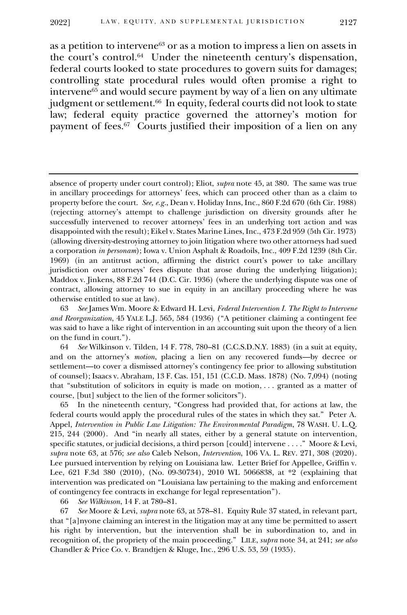as a petition to intervene<sup>63</sup> or as a motion to impress a lien on assets in the court's control.<sup>64</sup> Under the nineteenth century's dispensation, federal courts looked to state procedures to govern suits for damages; controlling state procedural rules would often promise a right to intervene<sup>65</sup> and would secure payment by way of a lien on any ultimate judgment or settlement.<sup>66</sup> In equity, federal courts did not look to state law; federal equity practice governed the attorney's motion for payment of fees.<sup>67</sup> Courts justified their imposition of a lien on any

66 *See Wilkinson*, 14 F. at 780–81.

67 *See* Moore & Levi, *supra* note 63, at 578–81. Equity Rule 37 stated, in relevant part, that "[a]nyone claiming an interest in the litigation may at any time be permitted to assert his right by intervention, but the intervention shall be in subordination to, and in recognition of, the propriety of the main proceeding." LILE, *supra* note 34, at 241; *see also*  Chandler & Price Co. v. Brandtjen & Kluge, Inc., 296 U.S. 53, 59 (1935).

absence of property under court control); Eliot, *supra* note 45, at 380. The same was true in ancillary proceedings for attorneys' fees, which can proceed other than as a claim to property before the court. *See, e.g.*, Dean v. Holiday Inns, Inc., 860 F.2d 670 (6th Cir. 1988) (rejecting attorney's attempt to challenge jurisdiction on diversity grounds after he successfully intervened to recover attorneys' fees in an underlying tort action and was disappointed with the result); Eikel v. States Marine Lines, Inc., 473 F.2d 959 (5th Cir. 1973) (allowing diversity-destroying attorney to join litigation where two other attorneys had sued a corporation *in personam*); Iowa v. Union Asphalt & Roadoils, Inc., 409 F.2d 1239 (8th Cir. 1969) (in an antitrust action, affirming the district court's power to take ancillary jurisdiction over attorneys' fees dispute that arose during the underlying litigation); Maddox v. Jinkens, 88 F.2d 744 (D.C. Cir. 1936) (where the underlying dispute was one of contract, allowing attorney to sue in equity in an ancillary proceeding where he was otherwise entitled to sue at law).

<sup>63</sup> *See* James Wm. Moore & Edward H. Levi, *Federal Intervention I. The Right to Intervene and Reorganization*, 45 YALE L.J. 565, 584 (1936) ("A petitioner claiming a contingent fee was said to have a like right of intervention in an accounting suit upon the theory of a lien on the fund in court.").

<sup>64</sup> *See* Wilkinson v. Tilden, 14 F. 778, 780–81 (C.C.S.D.N.Y. 1883) (in a suit at equity, and on the attorney's *motion*, placing a lien on any recovered funds—by decree or settlement—to cover a dismissed attorney's contingency fee prior to allowing substitution of counsel); Isaacs v. Abraham, 13 F. Cas. 151, 151 (C.C.D. Mass. 1878) (No. 7,094) (noting that "substitution of solicitors in equity is made on motion, . . . granted as a matter of course, [but] subject to the lien of the former solicitors").

<sup>65</sup> In the nineteenth century, "Congress had provided that, for actions at law, the federal courts would apply the procedural rules of the states in which they sat." Peter A. Appel, *Intervention in Public Law Litigation: The Environmental Paradigm*, 78 WASH. U. L.Q. 215, 244 (2000). And "in nearly all states, either by a general statute on intervention, specific statutes, or judicial decisions, a third person [could] intervene . . . ." Moore & Levi, *supra* note 63, at 576; *see also* Caleb Nelson, *Intervention*, 106 VA. L. REV. 271, 308 (2020). Lee pursued intervention by relying on Louisiana law. Letter Brief for Appellee, Griffin v. Lee, 621 F.3d 380 (2010), (No. 09-30734), 2010 WL 5066838, at \*2 (explaining that intervention was predicated on "Louisiana law pertaining to the making and enforcement of contingency fee contracts in exchange for legal representation").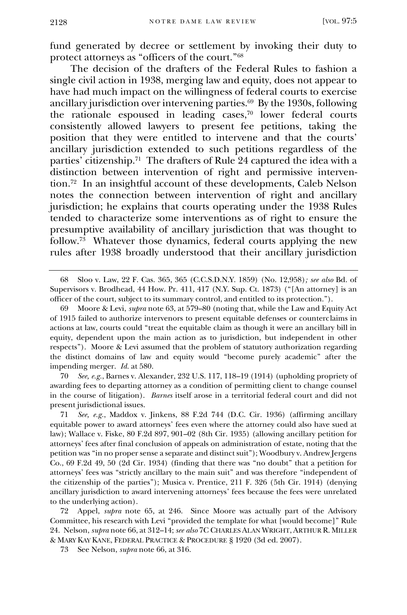fund generated by decree or settlement by invoking their duty to protect attorneys as "officers of the court."<sup>68</sup>

The decision of the drafters of the Federal Rules to fashion a single civil action in 1938, merging law and equity, does not appear to have had much impact on the willingness of federal courts to exercise ancillary jurisdiction over intervening parties.<sup>69</sup> By the 1930s, following the rationale espoused in leading cases, $70$  lower federal courts consistently allowed lawyers to present fee petitions, taking the position that they were entitled to intervene and that the courts' ancillary jurisdiction extended to such petitions regardless of the parties' citizenship.<sup>71</sup> The drafters of Rule 24 captured the idea with a distinction between intervention of right and permissive intervention.<sup>72</sup> In an insightful account of these developments, Caleb Nelson notes the connection between intervention of right and ancillary jurisdiction; he explains that courts operating under the 1938 Rules tended to characterize some interventions as of right to ensure the presumptive availability of ancillary jurisdiction that was thought to follow.<sup>73</sup> Whatever those dynamics, federal courts applying the new rules after 1938 broadly understood that their ancillary jurisdiction

70 *See, e.g.*, Barnes v. Alexander, 232 U.S. 117, 118–19 (1914) (upholding propriety of awarding fees to departing attorney as a condition of permitting client to change counsel in the course of litigation). *Barnes* itself arose in a territorial federal court and did not present jurisdictional issues.

72 Appel, *supra* note 65, at 246. Since Moore was actually part of the Advisory Committee, his research with Levi "provided the template for what [would become]" Rule 24. Nelson, *supra* note 66, at 312–14; *see also* 7C CHARLES ALAN WRIGHT, ARTHUR R. MILLER & MARY KAY KANE, FEDERAL PRACTICE & PROCEDURE § 1920 (3d ed. 2007).

73 See Nelson, *supra* note 66, at 316.

<sup>68</sup> Sloo v. Law, 22 F. Cas. 365, 365 (C.C.S.D.N.Y. 1859) (No. 12,958)*; see also* Bd. of Supervisors v. Brodhead, 44 How. Pr. 411, 417 (N.Y. Sup. Ct. 1873) ("[An attorney] is an officer of the court, subject to its summary control, and entitled to its protection.").

<sup>69</sup> Moore & Levi, *supra* note 63, at 579–80 (noting that, while the Law and Equity Act of 1915 failed to authorize intervenors to present equitable defenses or counterclaims in actions at law, courts could "treat the equitable claim as though it were an ancillary bill in equity, dependent upon the main action as to jurisdiction, but independent in other respects"). Moore & Levi assumed that the problem of statutory authorization regarding the distinct domains of law and equity would "become purely academic" after the impending merger. *Id.* at 580.

<sup>71</sup> *See, e.g.*, Maddox v. Jinkens, 88 F.2d 744 (D.C. Cir. 1936) (affirming ancillary equitable power to award attorneys' fees even where the attorney could also have sued at law); Wallace v. Fiske, 80 F.2d 897, 901–02 (8th Cir. 1935) (allowing ancillary petition for attorneys' fees after final conclusion of appeals on administration of estate, noting that the petition was "in no proper sense a separate and distinct suit"); Woodbury v. Andrew Jergens Co., 69 F.2d 49, 50 (2d Cir. 1934) (finding that there was "no doubt" that a petition for attorneys' fees was "strictly ancillary to the main suit" and was therefore "independent of the citizenship of the parties"); Musica v. Prentice, 211 F. 326 (5th Cir. 1914) (denying ancillary jurisdiction to award intervening attorneys' fees because the fees were unrelated to the underlying action).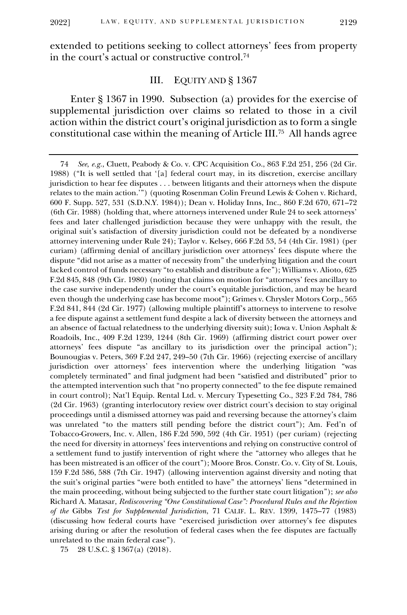2022]

extended to petitions seeking to collect attorneys' fees from property in the court's actual or constructive control.<sup>74</sup>

## III. EQUITY AND § 1367

Enter § 1367 in 1990. Subsection (a) provides for the exercise of supplemental jurisdiction over claims so related to those in a civil action within the district court's original jurisdiction as to form a single constitutional case within the meaning of Article III.<sup>75</sup> All hands agree

<sup>74</sup> *See*, *e.g.*, Cluett, Peabody & Co. v. CPC Acquisition Co., 863 F.2d 251, 256 (2d Cir. 1988) ("It is well settled that '[a] federal court may, in its discretion, exercise ancillary jurisdiction to hear fee disputes . . . between litigants and their attorneys when the dispute relates to the main action.'") (quoting Rosenman Colin Freund Lewis & Cohen v. Richard, 600 F. Supp. 527, 531 (S.D.N.Y. 1984)); Dean v. Holiday Inns, Inc., 860 F.2d 670, 671–72 (6th Cir. 1988) (holding that, where attorneys intervened under Rule 24 to seek attorneys' fees and later challenged jurisdiction because they were unhappy with the result, the original suit's satisfaction of diversity jurisdiction could not be defeated by a nondiverse attorney intervening under Rule 24); Taylor v. Kelsey, 666 F.2d 53, 54 (4th Cir. 1981) (per curiam) (affirming denial of ancillary jurisdiction over attorneys' fees dispute where the dispute "did not arise as a matter of necessity from" the underlying litigation and the court lacked control of funds necessary "to establish and distribute a fee"); Williams v. Alioto, 625 F.2d 845, 848 (9th Cir. 1980) (noting that claims on motion for "attorneys' fees ancillary to the case survive independently under the court's equitable jurisdiction, and may be heard even though the underlying case has become moot"); Grimes v. Chrysler Motors Corp., 565 F.2d 841, 844 (2d Cir. 1977) (allowing multiple plaintiff's attorneys to intervene to resolve a fee dispute against a settlement fund despite a lack of diversity between the attorneys and an absence of factual relatedness to the underlying diversity suit); Iowa v. Union Asphalt & Roadoils, Inc., 409 F.2d 1239, 1244 (8th Cir. 1969) (affirming district court power over attorneys' fees dispute "as ancillary to its jurisdiction over the principal action"); Bounougias v. Peters, 369 F.2d 247, 249–50 (7th Cir. 1966) (rejecting exercise of ancillary jurisdiction over attorneys' fees intervention where the underlying litigation "was completely terminated" and final judgment had been "satisfied and distributed" prior to the attempted intervention such that "no property connected" to the fee dispute remained in court control); Nat'l Equip. Rental Ltd. v. Mercury Typesetting Co., 323 F.2d 784, 786 (2d Cir. 1963) (granting interlocutory review over district court's decision to stay original proceedings until a dismissed attorney was paid and reversing because the attorney's claim was unrelated "to the matters still pending before the district court"); Am. Fed'n of Tobacco-Growers, Inc. v. Allen, 186 F.2d 590, 592 (4th Cir. 1951) (per curiam) (rejecting the need for diversity in attorneys' fees interventions and relying on constructive control of a settlement fund to justify intervention of right where the "attorney who alleges that he has been mistreated is an officer of the court"); Moore Bros. Constr. Co. v. City of St. Louis, 159 F.2d 586, 588 (7th Cir. 1947) (allowing intervention against diversity and noting that the suit's original parties "were both entitled to have" the attorneys' liens "determined in the main proceeding, without being subjected to the further state court litigation"); *see also*  Richard A. Matasar, *Rediscovering "One Constitutional Case": Procedural Rules and the Rejection of the* Gibbs *Test for Supplemental Jurisdiction*, 71 CALIF. L. REV. 1399, 1475–77 (1983) (discussing how federal courts have "exercised jurisdiction over attorney's fee disputes arising during or after the resolution of federal cases when the fee disputes are factually unrelated to the main federal case").

<sup>75</sup> 28 U.S.C. § 1367(a) (2018).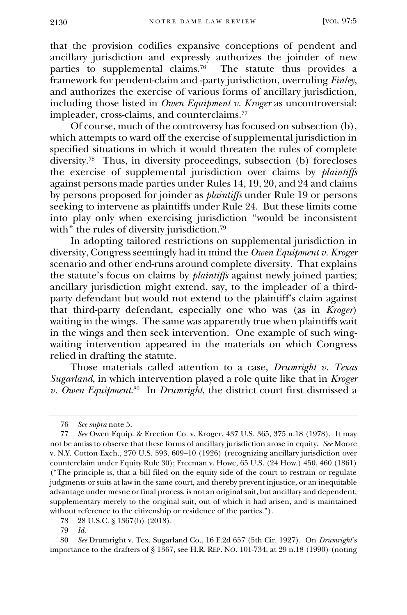that the provision codifies expansive conceptions of pendent and ancillary jurisdiction and expressly authorizes the joinder of new parties to supplemental claims.<sup>76</sup> The statute thus provides a framework for pendent-claim and -party jurisdiction, overruling *Finley*, and authorizes the exercise of various forms of ancillary jurisdiction, including those listed in *Owen Equipment v. Kroger* as uncontroversial: impleader, cross-claims, and counterclaims.<sup>77</sup>

Of course, much of the controversy has focused on subsection (b), which attempts to ward off the exercise of supplemental jurisdiction in specified situations in which it would threaten the rules of complete diversity.<sup>78</sup> Thus, in diversity proceedings, subsection (b) forecloses the exercise of supplemental jurisdiction over claims by *plaintiffs* against persons made parties under Rules 14, 19, 20, and 24 and claims by persons proposed for joinder as *plaintiffs* under Rule 19 or persons seeking to intervene as plaintiffs under Rule 24. But these limits come into play only when exercising jurisdiction "would be inconsistent with" the rules of diversity jurisdiction.<sup>79</sup>

In adopting tailored restrictions on supplemental jurisdiction in diversity, Congress seemingly had in mind the *Owen Equipment v. Kroger*  scenario and other end-runs around complete diversity. That explains the statute's focus on claims by *plaintiffs* against newly joined parties; ancillary jurisdiction might extend, say, to the impleader of a thirdparty defendant but would not extend to the plaintiff's claim against that third-party defendant, especially one who was (as in *Kroger*) waiting in the wings. The same was apparently true when plaintiffs wait in the wings and then seek intervention. One example of such wingwaiting intervention appeared in the materials on which Congress relied in drafting the statute.

Those materials called attention to a case, *Drumright v. Texas Sugarland*, in which intervention played a role quite like that in *Kroger v. Owen Equipment*. 80 In *Drumright*, the district court first dismissed a

80 *See* Drumright v. Tex. Sugarland Co., 16 F.2d 657 (5th Cir. 1927). On *Drumright*'s importance to the drafters of § 1367, see H.R. REP. NO. 101-734, at 29 n.18 (1990) (noting

<sup>76</sup> *See supra* note 5.

<sup>77</sup> *See* Owen Equip. & Erection Co. v. Kroger, 437 U.S. 365, 375 n.18 (1978). It may not be amiss to observe that these forms of ancillary jurisdiction arose in equity. *See* Moore v. N.Y. Cotton Exch., 270 U.S. 593, 609–10 (1926) (recognizing ancillary jurisdiction over counterclaim under Equity Rule 30); Freeman v. Howe, 65 U.S. (24 How.) 450, 460 (1861) ("The principle is, that a bill filed on the equity side of the court to restrain or regulate judgments or suits at law in the same court, and thereby prevent injustice, or an inequitable advantage under mesne or final process, is not an original suit, but ancillary and dependent, supplementary merely to the original suit, out of which it had arisen, and is maintained without reference to the citizenship or residence of the parties.").

<sup>78</sup> 28 U.S.C. § 1367(b) (2018).

<sup>79</sup> *Id.*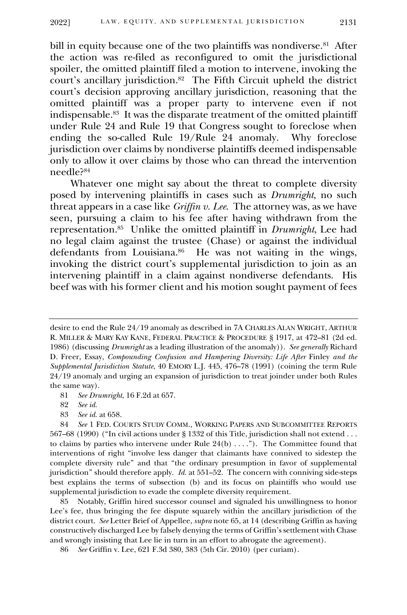bill in equity because one of the two plaintiffs was nondiverse.<sup>81</sup> After the action was re-filed as reconfigured to omit the jurisdictional spoiler, the omitted plaintiff filed a motion to intervene, invoking the court's ancillary jurisdiction.<sup>82</sup> The Fifth Circuit upheld the district court's decision approving ancillary jurisdiction, reasoning that the omitted plaintiff was a proper party to intervene even if not indispensable.<sup>83</sup> It was the disparate treatment of the omitted plaintiff under Rule 24 and Rule 19 that Congress sought to foreclose when ending the so-called Rule 19/Rule 24 anomaly. Why foreclose jurisdiction over claims by nondiverse plaintiffs deemed indispensable only to allow it over claims by those who can thread the intervention needle?<sup>84</sup>

Whatever one might say about the threat to complete diversity posed by intervening plaintiffs in cases such as *Drumright*, no such threat appears in a case like *Griffin v. Lee*. The attorney was, as we have seen, pursuing a claim to his fee after having withdrawn from the representation. 85 Unlike the omitted plaintiff in *Drumright*, Lee had no legal claim against the trustee (Chase) or against the individual defendants from Louisiana.<sup>86</sup> He was not waiting in the wings, invoking the district court's supplemental jurisdiction to join as an intervening plaintiff in a claim against nondiverse defendants. His beef was with his former client and his motion sought payment of fees

83 *See id.* at 658.

85 Notably, Griffin hired successor counsel and signaled his unwillingness to honor Lee's fee, thus bringing the fee dispute squarely within the ancillary jurisdiction of the district court. *See* Letter Brief of Appellee, *supra* note 65, at 14 (describing Griffin as having constructively discharged Lee by falsely denying the terms of Griffin's settlement with Chase and wrongly insisting that Lee lie in turn in an effort to abrogate the agreement).

desire to end the Rule 24/19 anomaly as described in 7A CHARLES ALAN WRIGHT, ARTHUR R. MILLER & MARY KAY KANE, FEDERAL PRACTICE & PROCEDURE § 1917, at 472–81 (2d ed. 1986) (discussing *Drumright* as a leading illustration of the anomaly)). *See generally* Richard D. Freer, Essay, *Compounding Confusion and Hampering Diversity: Life After* Finley *and the Supplemental Jurisdiction Statute*, 40 EMORY L.J. 445, 476–78 (1991) (coining the term Rule 24/19 anomaly and urging an expansion of jurisdiction to treat joinder under both Rules the same way).

<sup>81</sup> *See Drumright*, 16 F.2d at 657.

<sup>82</sup> *See id.*

<sup>84</sup> *See* 1 FED. COURTS STUDY COMM., WORKING PAPERS AND SUBCOMMITTEE REPORTS 567–68 (1990) ("In civil actions under § 1332 of this Title, jurisdiction shall not extend . . . to claims by parties who intervene under Rule  $24(b) \ldots$ "). The Committee found that interventions of right "involve less danger that claimants have connived to sidestep the complete diversity rule" and that "the ordinary presumption in favor of supplemental jurisdiction" should therefore apply. *Id.* at 551–52. The concern with conniving side-steps best explains the terms of subsection (b) and its focus on plaintiffs who would use supplemental jurisdiction to evade the complete diversity requirement.

<sup>86</sup> *See* Griffin v. Lee, 621 F.3d 380, 383 (5th Cir. 2010) (per curiam).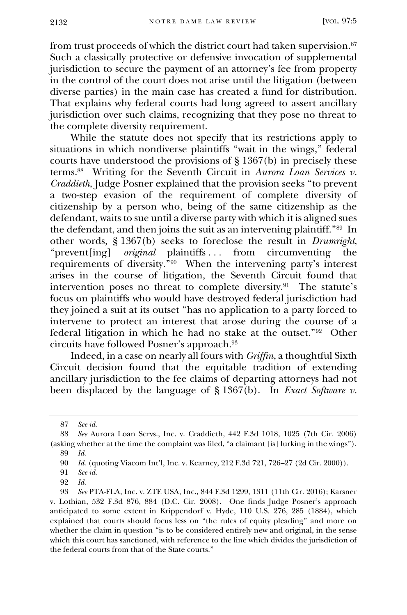from trust proceeds of which the district court had taken supervision.<sup>87</sup> Such a classically protective or defensive invocation of supplemental jurisdiction to secure the payment of an attorney's fee from property in the control of the court does not arise until the litigation (between diverse parties) in the main case has created a fund for distribution. That explains why federal courts had long agreed to assert ancillary jurisdiction over such claims, recognizing that they pose no threat to the complete diversity requirement.

While the statute does not specify that its restrictions apply to situations in which nondiverse plaintiffs "wait in the wings," federal courts have understood the provisions of § 1367(b) in precisely these terms.<sup>88</sup> Writing for the Seventh Circuit in *Aurora Loan Services v. Craddieth*, Judge Posner explained that the provision seeks "to prevent a two-step evasion of the requirement of complete diversity of citizenship by a person who, being of the same citizenship as the defendant, waits to sue until a diverse party with which it is aligned sues the defendant, and then joins the suit as an intervening plaintiff."<sup>89</sup> In other words, § 1367(b) seeks to foreclose the result in *Drumright*, "prevent[ing] *original* plaintiffs... from circumventing the requirements of diversity."<sup>90</sup> When the intervening party's interest arises in the course of litigation, the Seventh Circuit found that intervention poses no threat to complete diversity.<sup>91</sup> The statute's focus on plaintiffs who would have destroyed federal jurisdiction had they joined a suit at its outset "has no application to a party forced to intervene to protect an interest that arose during the course of a federal litigation in which he had no stake at the outset."<sup>92</sup> Other circuits have followed Posner's approach.<sup>93</sup>

Indeed, in a case on nearly all fours with *Griffin*, a thoughtful Sixth Circuit decision found that the equitable tradition of extending ancillary jurisdiction to the fee claims of departing attorneys had not been displaced by the language of § 1367(b). In *Exact Software v.* 

<sup>87</sup> *See id.*

<sup>88</sup> *See* Aurora Loan Servs., Inc. v. Craddieth, 442 F.3d 1018, 1025 (7th Cir. 2006) (asking whether at the time the complaint was filed, "a claimant [is] lurking in the wings").

<sup>89</sup> *Id.*

<sup>90</sup> *Id.* (quoting Viacom Int'l, Inc. v. Kearney, 212 F.3d 721, 726–27 (2d Cir. 2000)).

See *id.* 

<sup>92</sup> *Id.*

<sup>93</sup> *See* PTA-FLA, Inc. v. ZTE USA, Inc., 844 F.3d 1299, 1311 (11th Cir. 2016); Karsner v. Lothian, 532 F.3d 876, 884 (D.C. Cir. 2008). One finds Judge Posner's approach anticipated to some extent in Krippendorf v. Hyde, 110 U.S. 276, 285 (1884), which explained that courts should focus less on "the rules of equity pleading" and more on whether the claim in question "is to be considered entirely new and original, in the sense which this court has sanctioned, with reference to the line which divides the jurisdiction of the federal courts from that of the State courts."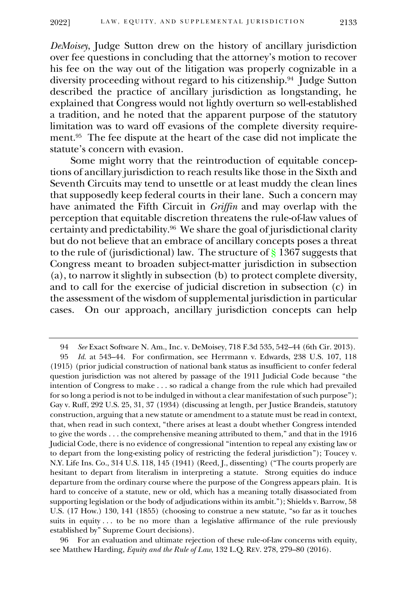*DeMoisey*, Judge Sutton drew on the history of ancillary jurisdiction over fee questions in concluding that the attorney's motion to recover his fee on the way out of the litigation was properly cognizable in a diversity proceeding without regard to his citizenship.<sup>94</sup> Judge Sutton described the practice of ancillary jurisdiction as longstanding, he explained that Congress would not lightly overturn so well-established a tradition, and he noted that the apparent purpose of the statutory limitation was to ward off evasions of the complete diversity requirement.<sup>95</sup> The fee dispute at the heart of the case did not implicate the statute's concern with evasion.

Some might worry that the reintroduction of equitable conceptions of ancillary jurisdiction to reach results like those in the Sixth and Seventh Circuits may tend to unsettle or at least muddy the clean lines that supposedly keep federal courts in their lane. Such a concern may have animated the Fifth Circuit in *Griffin* and may overlap with the perception that equitable discretion threatens the rule-of-law values of certainty and predictability.<sup>96</sup> We share the goal of jurisdictional clarity but do not believe that an embrace of ancillary concepts poses a threat to the rule of (jurisdictional) law. The structure of § 1367 suggests that Congress meant to broaden subject-matter jurisdiction in subsection (a), to narrow it slightly in subsection (b) to protect complete diversity, and to call for the exercise of judicial discretion in subsection (c) in the assessment of the wisdom of supplemental jurisdiction in particular cases. On our approach, ancillary jurisdiction concepts can help

96 For an evaluation and ultimate rejection of these rule-of-law concerns with equity, see Matthew Harding, *Equity and the Rule of Law*, 132 L.Q. REV. 278, 279–80 (2016).

<sup>94</sup> *See* Exact Software N. Am., Inc. v. DeMoisey, 718 F.3d 535, 542–44 (6th Cir. 2013).

<sup>95</sup> *Id.* at 543–44. For confirmation, see Herrmann v. Edwards, 238 U.S. 107, 118 (1915) (prior judicial construction of national bank status as insufficient to confer federal question jurisdiction was not altered by passage of the 1911 Judicial Code because "the intention of Congress to make . . . so radical a change from the rule which had prevailed for so long a period is not to be indulged in without a clear manifestation of such purpose"); Gay v. Ruff, 292 U.S. 25, 31, 37 (1934) (discussing at length, per Justice Brandeis, statutory construction, arguing that a new statute or amendment to a statute must be read in context, that, when read in such context, "there arises at least a doubt whether Congress intended to give the words . . . the comprehensive meaning attributed to them," and that in the 1916 Judicial Code, there is no evidence of congressional "intention to repeal any existing law or to depart from the long-existing policy of restricting the federal jurisdiction"); Toucey v. N.Y. Life Ins. Co., 314 U.S. 118, 145 (1941) (Reed, J., dissenting) ("The courts properly are hesitant to depart from literalism in interpreting a statute. Strong equities do induce departure from the ordinary course where the purpose of the Congress appears plain. It is hard to conceive of a statute, new or old, which has a meaning totally disassociated from supporting legislation or the body of adjudications within its ambit."); Shields v. Barrow, 58 U.S. (17 How.) 130, 141 (1855) (choosing to construe a new statute, "so far as it touches suits in equity  $\dots$  to be no more than a legislative affirmance of the rule previously established by" Supreme Court decisions).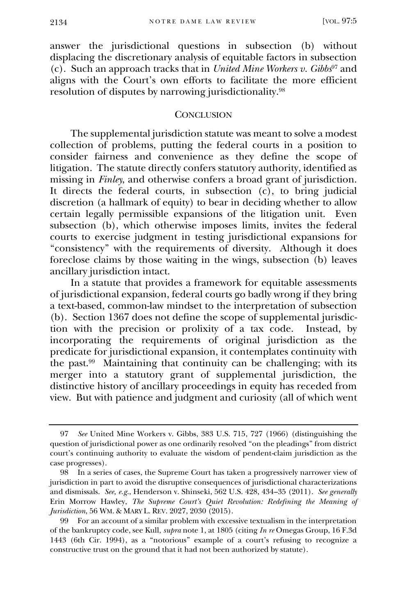answer the jurisdictional questions in subsection (b) without displacing the discretionary analysis of equitable factors in subsection (c). Such an approach tracks that in *United Mine Workers v. Gibbs*<sup>97</sup> and aligns with the Court's own efforts to facilitate the more efficient resolution of disputes by narrowing jurisdictionality.<sup>98</sup>

#### **CONCLUSION**

The supplemental jurisdiction statute was meant to solve a modest collection of problems, putting the federal courts in a position to consider fairness and convenience as they define the scope of litigation. The statute directly confers statutory authority, identified as missing in *Finley*, and otherwise confers a broad grant of jurisdiction. It directs the federal courts, in subsection (c), to bring judicial discretion (a hallmark of equity) to bear in deciding whether to allow certain legally permissible expansions of the litigation unit. Even subsection (b), which otherwise imposes limits, invites the federal courts to exercise judgment in testing jurisdictional expansions for "consistency" with the requirements of diversity. Although it does foreclose claims by those waiting in the wings, subsection (b) leaves ancillary jurisdiction intact.

In a statute that provides a framework for equitable assessments of jurisdictional expansion, federal courts go badly wrong if they bring a text-based, common-law mindset to the interpretation of subsection (b). Section 1367 does not define the scope of supplemental jurisdiction with the precision or prolixity of a tax code. Instead, by incorporating the requirements of original jurisdiction as the predicate for jurisdictional expansion, it contemplates continuity with the past.<sup>99</sup> Maintaining that continuity can be challenging; with its merger into a statutory grant of supplemental jurisdiction, the distinctive history of ancillary proceedings in equity has receded from view. But with patience and judgment and curiosity (all of which went

<sup>97</sup> *See* United Mine Workers v. Gibbs, 383 U.S. 715, 727 (1966) (distinguishing the question of jurisdictional power as one ordinarily resolved "on the pleadings" from district court's continuing authority to evaluate the wisdom of pendent-claim jurisdiction as the case progresses).

<sup>98</sup> In a series of cases, the Supreme Court has taken a progressively narrower view of jurisdiction in part to avoid the disruptive consequences of jurisdictional characterizations and dismissals. *See, e.g*., Henderson v. Shinseki, 562 U.S. 428, 434–35 (2011). *See generally* Erin Morrow Hawley, *The Supreme Court's Quiet Revolution: Redefining the Meaning of Jurisdiction*, 56 WM. & MARY L. REV. 2027, 2030 (2015).

<sup>99</sup> For an account of a similar problem with excessive textualism in the interpretation of the bankruptcy code, see Kull, *supra* note 1, at 1805 (citing *In re* Omegas Group, 16 F.3d 1443 (6th Cir. 1994), as a "notorious" example of a court's refusing to recognize a constructive trust on the ground that it had not been authorized by statute).